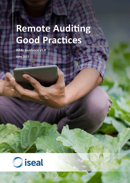# **Remote Auditing Good Practices**

**ISEAL Guidance v1.0 June 2021**

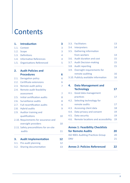# **Contents**

| 1.   | <b>Introduction</b>                    | 3  |
|------|----------------------------------------|----|
| 1.1. | Context                                | 3  |
| 1.2. | Scope                                  | 3  |
| 1.3. | <b>Definitions</b>                     | 4  |
| 1.4. | <b>Informative References</b>          | 4  |
| 1.5. | <b>Organisations Referenced</b>        | 5  |
| 2.   | <b>Audit Policies and</b>              |    |
|      | <b>Procedures</b>                      | 6  |
| 2.1. | <b>Derogation policy</b>               | 6  |
| 2.2. | <b>Certificate extensions</b>          | 6  |
| 2.3. | Remote audit policy                    | 7  |
| 2.4. | Remote audit feasibility               |    |
|      | assessment                             | 7  |
| 2.5. | Initial certification audits           | 8  |
| 2.6. | Surveillance audits                    | 8  |
|      | 2.7. Full recertification audits       | 9  |
|      | 2.8. Hybrid audits                     | 9  |
| 2.9. | Auditor training and                   |    |
|      | qualifications                         | 10 |
|      | 2.10. Requirements for assurance and   |    |
|      | oversight providers                    | 10 |
|      | 2.11. Safety preconditions for on-site |    |
|      | audits                                 | 11 |
| 3.   | <b>Audit Implementation</b>            | 12 |
|      | 3.1. Pre-audit planning                | 12 |
|      | 3.2. Sharing documentation             | 13 |
|      |                                        |    |

| 3.3. Facilitators                    | 13 |
|--------------------------------------|----|
| 3.4. Interpreters                    | 14 |
| 3.5. Gathering information           |    |
| from workers                         | 14 |
| 3.6. Audit duration and cost         | 15 |
| 3.7. Audit Decision-making           | 15 |
| 3.8. Audit reporting                 | 15 |
| 3.9. Oversight requirements for      |    |
| remote auditing                      | 16 |
| 3.10. Publicly available information | 16 |

| 4. | <b>Data Management and</b>              |    |
|----|-----------------------------------------|----|
|    | <b>Technology</b>                       |    |
|    | 4.1. Good data management               |    |
|    | practices                               | 17 |
|    | 4.2. Selecting technology for           |    |
|    | remote audits                           | 17 |
|    | 4.3. Accessing client data              | 18 |
|    | 4.4. Data privacy and consent           | 19 |
|    | 4.5. Data security                      | 19 |
|    | 4.6. Remote locations and accessibility | 19 |

**Annex 1: Feasibility Checklists** 

| for Remote Audits                        | 20 |
|------------------------------------------|----|
| <b>ISO 9001 Auditing Practices Group</b> | 20 |
| <b>DNV</b>                               | 21 |
| <b>Annex 2: Policies Referenced</b>      | 22 |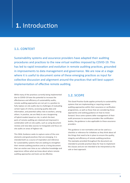## **1.** Introduction

## **1.1. CONTEXT**

Sustainability systems and assurance providers have adapted their auditing procedures and practices to the new virtual realities imposed by COVID-19. This has led to rapid innovation and evolution in remote auditing practices, grounded in improvements to data management and governance. We are now at a stage where it is useful to document some of these emerging practices as input for collective discussion and alignment around the practices that will best support implementation of effective remote auditing.

While many of the practices currently being implemented due to COVID-19 have the potential to increase the effectiveness and efficiency of sustainability audits, remote auditing approaches are not yet in a position to fully replace on-site audits due to challenges of evaluating certain types of criteria, accessing quality data and information, and potential safety risks to workers, among others. In practice, we are likely to see a burgeoning of hybrid models based on risk, in which the best parts of remote auditing are retained and improved in combination with on-site audits, such as using document reviews and new data sources to triangulate and focus onsite audits on areas of highest risk.

This ISEAL Guidance seeks to capture some of the core elements and good practices that are emerging. It is intended both as a source of inspiration and reference for sustainability systems that are seeking to strengthen their remote auditing practices and as a living document that can evolve over time as our collective knowledge and experience refines what we know about where remote auditing approaches and tools can be effective.

## **1.2. SCOPE**

This Good Practice Guide applies primarily to sustainability systems that are implementing or requiring remote auditing approaches within their assurance or verification programmes, as well as those that are considering these approaches and seeking guidance on how to move forward. Since some systems defer management of their audit processes to assurance providers like certification bodies, the guidance is also applicable to these assurance providers.

This guidance is non-normative and can be used as a checklist or reference for initiatives as they think about all the things that need to be in place to ensure the quality, integrity and efficiency of remote auditing practices. The examples provided throughout the document are intended to provide practical ideas for how to implement the clauses and are not intended to be interpreted as the sole or best approach.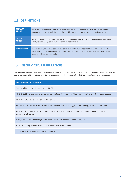## **1.3. DEFINITIONS**

| <b>REMOTE</b>      | An audit of an enterprise that is not conducted on-site. Remote audits may include off-line (e.g.                                                                                                                                   |
|--------------------|-------------------------------------------------------------------------------------------------------------------------------------------------------------------------------------------------------------------------------------|
| <b>AUDIT</b>       | document review) or real-time virtual (e.g. video calls) approaches, or combinations thereof.                                                                                                                                       |
| <b>HYBRID</b>      | An audit that is conducted through a combination of remote approaches and on-site inspection to                                                                                                                                     |
| <b>AUDIT</b>       | verify compliance (also known as 'partial remote audit')                                                                                                                                                                            |
| <b>FACILITATOR</b> | A local employee or contractor of the assurance body who is not qualified as an auditor for the<br>assurance provider but supports and is directed by the audit team as their eyes and ears on the<br>ground during a remote audit. |

## **1.4. INFORMATIVE REFERENCES**

The following table lists a range of existing references that include information relevant to remote auditing and that may be useful for sustainability systems to review as background for the refinement of their own remote auditing procedures.

#### **INFORMATIVE REFERENCES**

EU General Data Protection Regulation (EU GDPR)

IAF ID 3: 2011 Management of Extraordinary Events or Circumstances Affecting ABs, CABs and Certified Organizations

IAF ID 12: 2015 Principles of Remote Assessment

IAF MD 4: 2018 The Use of Information and Communication Technology (ICT) for Auditing/ Assessment Purposes

IAF MD 5: 2019 Determination of Audit Time of Quality, Environmental, and Occupational Health & Safety Management Systems

ISEAL guide on Using Technology and Data to Enable and Enhance Remote Audits, 2021

ISO 9001 Auditing Practices Group: 2020 Guidance on Remote Audits

ISO 19011: 2018 Auditing Management Systems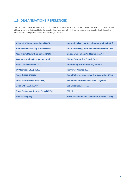## **1.5. ORGANISATIONS REFERENCED**

Throughout this guide we draw on examples from a wide range of sustainability systems and oversight bodies. For the sake of brevity, we refer in the guide to the organisations listed below by their acronym. Where no organisation is listed, the examples are a compilation drawn from a variety of sources.

| <b>Alliance for Water Stewardship (AWS)</b>     | <b>International Organic Accreditation Services (IOAS)</b> |
|-------------------------------------------------|------------------------------------------------------------|
| <b>Aluminium Stewardship Initiative (ASI)</b>   | <b>International Organization on Standardization (ISO)</b> |
| <b>Aquaculture Stewardship Council (ASC)</b>    | <b>Linking Environment And Farming (LEAF)</b>              |
| <b>Assurance Services International (ASI)</b>   | <b>Marine Stewardship Council (MSC)</b>                    |
| <b>Better Cotton Initiative (BCI)</b>           | <b>Preferred by Nature (formerly NEPCon)</b>               |
| <b>DNV Fairtrade USA (FTUSA)</b>                | <b>Rainforest Alliance (RA)</b>                            |
| <b>Fairtrade USA (FTUSA)</b>                    | <b>Round Table on Responsible Soy Association (RTRS)</b>   |
| <b>Forest Stewardship Council (FSC)</b>         | <b>Roundtable for Sustainable Palm Oil (RSPO)</b>          |
| <b>GlobalGAP (GLOBALGAP)</b>                    | <b>SCS Global Services (SCS)</b>                           |
| <b>Global Sustainable Tourism Counci (GSTC)</b> | <b>SEDEX</b>                                               |
| <b>GoodWeave (GW)</b>                           | <b>Social Accountability Accreditation Services (SAAS)</b> |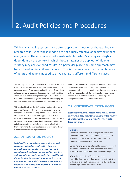## **2.** Audit Policies and Procedures

While sustainability systems most often apply their theories of change globally, research tells us that these models are not equally effective at achieving impact everywhere. The effectiveness of a sustainability system's strategies is highly dependent on the context in which those strategies are applied. While one strategy may achieve good results in a particular place, the same approach may have little effect in a different context. This is precisely because the combination of actors and actions needed to drive change is different in different places.

The first step that many sustainability systems took in response to COVID-19 restrictions was to revise their policies related to the timing and nature of assessments and validity of certificates. Audit policies are important because they set the framework conditions within which remote auditing can take place. Collectively they represent a coherent strategy and approach for managing the risks to assurance integrity inherent in remote auditing practices.

This section highlights the different types of policies that a sustainability system should have in place, some of which are specific to remote auditing, others that can be revised or updated to take remote auditing practices into account. Where a sustainability system works with multiple assurance providers, the scheme owner should take responsibility for defining many of these policies and practices itself rather than deferring to the individual assurance providers. This will support consistency of implementation.

Audit derogation or variation policies define the conditions under which exceptions or deviations from regular assurance and surveillance audit procedures, requirements, or timelines are allowed. Derogation policies apply more broadly than remote audit policies and one type of derogation may be the use of remote audits.

## **2.2. CERTIFICATE EXTENSIONS**

*Sustainability systems should define the conditions under which they allow for extensions of the validity of existing certificates and the allowable length of those extensions.*

#### **Examples:**

Certificate extensions are to be requested prior to the expiry of the certificate but not more than one month in advance of the certificate expiry date due to the changing nature of COVID-19 restrictions.

Certificate validity may be extended for a maximum period of 6 months where a risk assessment conducted by the assurance provider indicates a low risk of non-compliance.

Where the periodicity of full reassessments (recertification) is greater than one year, a certificate that is due to expire may be extended for up to 12 months by performing a remote surveillance audit.

## **2.1. DEROGATION POLICY**

*Sustainability systems should have in place an audit derogation policy that clearly defines the basis on which assurance providers are able to request exceptions or deviations to regular auditing practices, such as conducting audits remotely. This should include the implications for the audit programme (e.g., audit frequency and intensity) if clients are temporarily not in operation because of force majeure or other crisis conditions such as COVID-19.*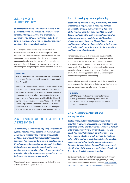## **2.3. REMOTE AUDIT POLICY**

*Sustainability systems should have a remote audit policy that documents the conditions under which remote auditing procedures and practices are applicable. This policy should include definitions for how terms specific to remote auditing are being applied by the sustainability system.*

Underlying this policy should be a consideration of the risks to the integrity of the assurance process and validity of the assessment results. Good data and a strong data management system will be critical to support an understanding of where the risks are of non-compliance and how effectively the remote assurance practices are identifying non-compliant performance based on those risks.

#### **Examples:**

**The ISO 9001 Auditing Practices Group** has developed a checklist on feasibility and risk analysis for remote audits (see Annex 1).

**GLOBALGAP** made it a requirement that the remote audit policy should only apply if there were official travel or gathering restrictions in the country or region where the inspection was to take place. For example, in the case that travel to or from regions was identified as high-risk by the national Ministry of Foreign Affairs or the World Health Organization. The scheme owner or assurance provider had to retain evidence of a region's emergency status to justify the use of this remote audit procedure.

## **2.4. REMOTE AUDIT FEASIBILITY ASSESSMENT**

*To accompany the remote audit policy, sustainability systems should have an assessment framework for determining the feasibility of conducting remote audits or hybrid audits (partial remote) in specific instances. The assessment framework should enable a tiered approach to assessing remote audit feasibility, first reviewing overall system applicability then guiding assurance providers in a risk assessment of the context in which the standard is to be applied and the individual situation of each enterprise.* 

These feasibility and risk assessments are defined in more detail in the following sub-clauses:

#### **2.4.1. Assessing system applicability**

*Sustainability systems should, at minimum, document whether each requirement in their standard can or cannot be credibly audited remotely. For each of the requirements that can be audited remotely, they should define the audit methodology and what evidence is to be provided. Sustainability systems should also assess the overall feasibility of remote auditing where there are inherent risks in their system such as for small enterprises, new clients, production audits vs chain of custody, etc.*

For each requirement in their standard, a sustainability system can identify what data was collected in an on-site audit and determine if there is a commensurate remote alternative means of gathering that data or gaining the same insight. Based on this analysis, sustainability systems can determine whether remote audits are feasible or not, or whether a hybrid approach is possible, combining some remote auditing with on-site auditing.

Where a hybrid approach is taken forward, the sustainability system can use the list of criteria that were not feasible to be audited remotely as a basis for the on-site audit.

#### **Example:**

**LEAF Marque** developed the Evidence for Remote Audits spreadsheet, identifying which types of information needed to be uploaded by businesses prior to a remote audit.

### **2.4.2. Assessing contextual and enterprise risk**

*Sustainability systems should require assurance providers to conduct risk assessments of contextual and enterprise-specific risks to determine whether individual enterprises qualify for one or more types of remote audit. This should also include consideration of any force majeure situations which may put the health or safety of the auditor or audit team at risk. Sustainability systems should define the risk assessment process, including data points to be included in the assessment, classification of risk levels, and implications of each risk level for the feasibility of remote audits.*

Contextual risk factors refer to the broader context in which an enterprise operates such as the legal, political, cultural, and environmental context. Section 2.2 of the **ISEAL [Guide](https://www.isealalliance.org/sites/default/files/resource/2021-01/ISEAL%20Guide%20on%20Using%20Technology%20and%20Data%20in%20Remote%20Audits_2021_0.pdf) on** Using [Technology](https://www.isealalliance.org/sites/default/files/resource/2021-01/ISEAL%20Guide%20on%20Using%20Technology%20and%20Data%20in%20Remote%20Audits_2021_0.pdf) and Data in Remote Audits includes a list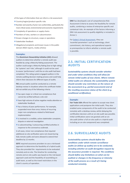of the types of information that can inform a risk assessment:

- $\blacksquare$  Country/region/product-specific risks
- $\blacksquare$  Number and severity of prior non-conformities, particularly the most critical social, environmental and economic requirements
- $\blacksquare$  Complexity of operations or supply chains
- $\blacksquare$  Numbers of sites, workers or subcontractors
- $\blacksquare$  Known changes to structure, scope or operations
- $\blacksquare$  Stakeholder feedback
- $\blacksquare$  Allegations/complaints and known issues in the public domain (NGO reports, media articles)

#### **Examples:**

The **Aluminium Stewardship Initiative (ASI)** allowed auditors to determine whether a remote audit was feasible by using a Maturity Rating assessment. The auditor could assign a Maturity Rating (low to high rating) for 'systems' and 'risks', although it could not be used to assess 'performance' until the on-site audit had been completed. This rating system engaged auditors in the remote auditing decision-making process and could help inform their decisions for different types of audits.

**FSC** annual audits could be conducted as a remote desktop review in situations where the certificate holder did not exhibit any of the following criteria:

- $\blacksquare$  has open major or critical non-compliances that cannot be verified without a site visit
- $\blacksquare$  have high volume of active negative media attention or stakeholder feedback
- $\blacksquare$  has a history of poor performance. For example, suspended more than once, history of recurring major non-compliances related to field-based implementation
- $\blacksquare$  is involved in a credible, active stakeholder complaint, dispute or external investigation
- $\blacksquare$  is subcontracting / outsourcing certified activities in response to the coronavirus outbreak.

In all cases, minor non-compliances that required additional on-site verification were not closed during fully remote audits and were allowed to extend their deadline by 12 months.

**GSTC** required assurance providers to use a risk-based approach to determine the feasibility of a hybrid audit. They also provided the requirements to be evaluated remotely and on-site. The timeline for conducting remote and on-site audits was based on the risk-based approach used and the feasibility of assembling an audit team, as well as the travel restrictions in the client's country of operation.

**DNV** has developed a set of comprehensive Risk Assessment Criteria to assess the feasibility for remote audits, combining a review of enterprise-specific and contextual risks. An example of the factors informing a DNV risk assessment to qualify eligibility is included in Annex 1.

For Sedex's Virtual [Assessment,](https://www.sedex.com/wp-content/uploads/2020/10/Sedex_Virtual_Assessment_Briefing_Suppliers_PDF.pdf) they use 'essential parameters' such as technology, client commitment, site history, and operational aspects as prerequisites to inform whether a remote audit is possible.

## **2.5. INITIAL CERTIFICATION AUDITS**

*Sustainability systems should consider whether and under what conditions they will allow for remote initial audits of new clients. Where remote initial audits are allowed, the sustainability system should consider any restrictions on the nature of the assessment (e.g. partial assessment) and of the resulting assurance status of the client (e.g. conditional certification).*

#### **Example:**

**Fair Trade USA** offered the option to accept new client applications and postpone the initial audit. They also enabled some components of the audit to be conducted remotely with a desktop review, whilst delaying the certification decision until an on-site audit was possible. Initial certifications were not granted until an onsite audit (either a full on-site audit or a hybrid audit including an on-site component) was completed.

### **2.6. SURVEILLANCE AUDITS**

*Sustainability systems should define the conditions under which remote surveillance audits (or follow-up audits) are to be conducted, including whether an audit derogation request by the assurance provider is required. The conditions should define any limitations on what can be audited or changes in the frequency or intensity of the audit process as a result of it being conducted remotely.*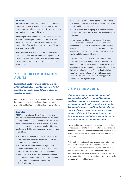#### **Examples:**

**FSC** surveillance audits may be conducted as a remote desktop audit if an assessment concludes that the scale, intensity and risk of an enterprise's activities can be credibly conducted in this way.

**RSPO** requires that remote audits are conducted every 3 months, resulting in a 3 month certificate extension. When an on-site audit is once again feasible, the sample size of sites visited is increased by 50% from the previous on-site audit.

**SAAS** indicates that, assuming other criteria are met, clients on a semi-annual surveillance programme can have a one-off consecutive off-site surveillance audit. However, this is not allowed for clients on an annual programme.

## **2.7. FULL RECERTIFICATION AUDITS**

*Sustainability systems should determine if any additional restrictions need to be in place for full recertification audits beyond those in place for surveillance audits.* 

Additional steps can include risk analysis to qualify eligibility for remote, determination of any criteria that require onsite audit, and limited or conditional certification status.

#### **Examples:**

**ASI (Aluminium Stewardship Council)** auditors can recommend Provisional Certification on the basis of a desktop review where appropriate, with a Surveillance Audit scheduled at a later date to review the on-site component. However, even provisional certification can be put on hold where one or more of the following is identified:

- $\blacksquare$  There is an insufficient number or range of criteria that have been adequately assessed during the remote audit component;
- $\blacksquare$  There is a substantial number of high-risk or significantly material criteria that have not been assessed during the remote audit component;
- $\blacksquare$  The overall level of objective evidence obtained and reviewed remotely by the auditor is deemed insufficient to continue or progress to a Full Certification status;
- $\blacksquare$  Insufficient rigour has been applied to the auditing of one or more criteria of material significance to the Entity and its Certification Scope;
- $\blacksquare$  There is insufficient sampling of businesses and/or facilities for Certification Scopes that include multiple operations.

**FSC** assurance providers can conduct a risk assessment of each client according to the scenarios or factors provided by FSC. This risk assessment determines the feasibility of conducting a fully remote audit (low risk), a partially remote audit (medium risk), or if a mandatory on-site audit is required (high risk).

This is assessed at the level of a single site and not at the certificate level. For multi-site certificates, FSC requires that the risk assessment is conducted for each participating site (or for each site selected by sampling) during the evaluation audit. When a client falls into more than one risk category, the certification body adopts the precautionary approach and applies the audit type of the higher category.

## **2.8. HYBRID AUDITS**

*Where audits can only be partially conducted using remote methods, sustainability systems should consider a hybrid approach, combining a partial remote audit and a separate on-site audit. Sustainability systems should set limits for the time that can elapse between the remote and on-site elements of the audit (commonly 6 months) and for what happens should that time limit be reached without the possibility of an on-site audit.* 

Hybrid audits have the potential to be more reliable than remote audits or onsite audits separately as they enable a deeper dive into documented evidence that then allows for a more streamlined onsite audit that focuses on the high risk issues.

Technically, a remote audit that incorporates a site-based virtual walk-through with a local facilitator on-site (see section 3.3) could be considered a hybrid audit. However, it remains important for the sustainability system to determine if there are any parts of the audit that need to be conducted in-person by the auditor, beyond what can be achieved with a local facilitator.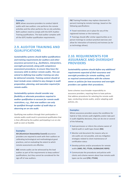#### **Example:**

**GSTC** allows assurance providers to conduct hybrid audits with two auditors: one performs the remote activities and the other performs the on-site activities. Both auditors need to comply with the GSTC Auditor Training qualifications. The lead auditor complies with all the GSTC Auditor qualification requirements.

## **2.9. AUDITOR TRAINING AND QUALIFICATIONS**

*Sustainability systems should define qualifications and training requirements for auditors and other assurance personnel (e.g., facilitators, interpreters, oversight personnel), along with competence assessment procedures, to ensure they have the necessary skills to deliver remote audits. This can extend to defining how auditor training can also be delivered remotely. Training content should at least include areas related to any changes in audit preparation, planning, and execution required for remote audits.*

*Sustainability systems should consider any flexibility or alternate procedures required in auditor qualification to account for remote audit restrictions, e.g., that new auditors can only be qualified through number of audit days or observing an on-site audit.*

Qualifying new auditors through their participation in remote audits could result in provisional qualification that is then affirmed by the auditor participating in an on-site audit as soon as feasible.

#### **Examples:**

**ASI (Aluminium Stewardship Council)** assurance providers are required to work with their auditors on calibrating technological and methodological good practices, and on evaluating the extent to which remote assessments are effective.

**ASC** remote audits can be witnessed by the lead auditor as part of the requirements to keep auditors' qualifications, but they cannot be considered for the sign-off of new auditors.

**FSC** Training Providers may replace classroom (inperson) training by remote trainings, based on the following specifications:

 $\blacksquare$  Travel restrictions are in place for any of the registered trainees or the trainer(s).

 $\blacksquare$  Trainings should offer similar opportunities as inperson trainings to conduct practical exercises and allow for interaction of trainer(s) and trainees (as far as technology allows).

## **2.10. REQUIREMENTS FOR ASSURANCE AND OVERSIGHT PROVIDERS**

*Sustainability systems should define any additional requirements expected of their assurance and oversight providers for remote auditing, such as required communications with the scheme owner or policies for how assurance and oversight providers can update their procedures.*

Some schemes issue broader responsibility to assurance providers, requiring them to have policies that address procedures for selecting the remote audit type, conducting remote audits, and/or adapting audit policies, etc.

#### **Examples:**

Where assurance providers assess the conditions for hybrid or fully remote audit eligibility and/or take part in audit eligibility decisions, they can do one or several of the following:

- $\blacksquare$  Seek permission or inform the scheme owner of hybrid audit or audit type chosen **(RA)**
- **n** Monitor and document the reasons why onsite audits are not possible, and any mitigation strategies related to client maintenance of certification status
- $\blacksquare$  Develop policies and/or procedures for remote audits **(AWS, FSC, FTUSA, GLOBALGAP, RSPO)**
- $\blacksquare$  Communicate the procedures and policies with clients and scheme owners about how remote audit types can be used **(FSC, FTUSA)**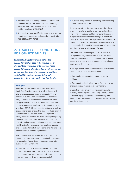- $\blacksquare$  Maintain lists of remotely audited operations and/ or which parts of the audit have been remotely assessed, and consider whether to make these publicly available **(MSC, RTRS)**
- $\blacksquare$  Train auditors (and local facilitators where in use) on remote audit processes and procedures **(ASC, ASI, FSC, GLOBALGAP, RSPO)**

## **2.11. SAFETY PRECONDITIONS FOR ON-SITE AUDITS**

*Sustainability systems should define the preconditions that need to be in place for onsite audits to take place or to resume. These preconditions are often based on a risk assessment or can take the form of a checklist. In addition, sustainability systems should define safety precautions for on-site audits to minimise risk.*

#### **Examples:**

**Preferred by Nature** has developed a COVID-19 Audit Best Practices checklist which is shared with clients at the proposal stage of the audit. Clients provide relevant information specific to the audit site(s) outlined in the checklist (for example, links to applicable local advisories, audit plan and travel, company safety policies/protocols). They also check whether a COVID-19 test needs to be taken, as well as the additional cost of this. The final checklist is shared with the lead auditor and client, who agree on the safety measures prior to the audit. During the opening meeting, the lead auditor reviews the COVID-19 audit checklist and ensures all audit participants agree upon health and safety measures. Auditors keep records and contact details of all participants and stakeholders they interacted with during the audit.

**SAAS** requires that assurance providers conduct an operational risk assessment to identify all certification risks resulting from a decision to return to on-site audits in a place, including:

 $\blacksquare$  Infection risks for assurance provider personnel, client personnel, and other personnel with whom an assurance provider representative may come into contact (such as drivers, translators, etc.);

 $\blacksquare$  Auditors' competence in identifying and evaluating client's COVID-19 issues.

The outcome of the risk assessment specifies shortterm, medium-term and long-term controls/actions (including any training and familiarization) needed to mitigate residual risks for the scope(s) of activity by country or region. Assurance providers are required to repeat the operational risk assessment periodically, as needed, to further identify, evaluate and mitigate risks associated with changing circumstances.

**Fair Trade USA** assurance providers are required to implement heightened safety precautions when returning to on-site audits. In addition to any specific guidance provided by each programme, at a minimum this includes the following:

a) All legal permissions/permits required to travel and conduct onsite activities are obtained;

b) Any applicable quarantine requirements are fulfilled;

c) Time spent onsite is minimized to focus on the parts of the audit that require onsite verification;

d) Logistics onsite are arranged to minimize risks, including observing social distancing, use of personal protective equipment (PPE), and minimizing time spent indoors, as well as any protocols required by the specific facility or site.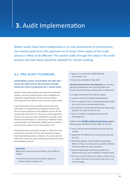## **3.** Audit Implementation

Where audits have relied traditionally on on-site assessments of performance, the remote audit turns this approach on its head. Every aspect of the audit process is likely to be affected. This section walks through the steps in the audit process and how these should be adapted for remote auditing.

## **3.1. PRE-AUDIT PLANNING**

#### *Sustainability systems should define the steps that need to be taken both by the assurance provider and by the client in preparation for a remote audit.*

Remote audits require greater planning and coordination. Auditors and other audit personnel need to flexible and adaptable and get familiar with the communications technology (ICT) that will be used in specific remote audits.

A pre-assessment of the possibility to access data and information is fundamental to accepting a remote audit. This can imply assessment of the different sources of data and possible constraints for full access to them (regulatory aspects such as privacy laws, possibility to remotely access the data and information in a secure way, reliability of data and information provided by the auditee and not selected directly by the auditor (risk of manipulation), etc.)

Client preparations should also include an initial call to test connections and other technical and operational aspects, including initiating evidence collection. This will enable the audit team to plan the audit considering possible constraints and operational aspects.

#### **Examples:**

**FSC** requires that assurance providers and certificate holders:

 $\blacksquare$  have the technical and operational capacity to conduct audits remotely, and

- $\blacksquare$  agree on a secure and confidential data transmission, and
- $\blacksquare$  ensure the availability of key staff.

**ASI (Assurance Services International)** sets out some general considerations that should be taken into account when planning a remote audit, including that:

- $\blacksquare$  a longer preparation time will be needed;
- $\blacksquare$  assessors need to be flexible and adaptable;
- $\blacksquare$  there is a greater risk for misunderstanding through the use of virtual communications tools;
- $\blacksquare$  concentration may be affected and can impact audit duration and need for breaks; and
- $\blacksquare$  there is need for a contingency plan should technology fail.

Guidance from **[ISO 9001 Auditing Practices Group](https://committee.iso.org/home/tc176/iso-9001-auditing-practices-group.html )**suggests planning steps specific to remote audits can include:

- $\blacksquare$  assess and document feasibility and risks with the auditee;
- $\blacksquare$  determine the different ICT used and how they will be used;
- $\blacksquare$  define the agenda, accommodating dispositions different from an on-site audit (e.g. better definition of tasks by different team members);
- $\blacksquare$  have the organization identify the people to be audited and ensure their availability at defined times;
- $\blacksquare$  test the use of ICT before the audit to confirm there is a stable connection and people know how to use the technology.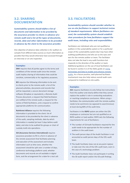## **3.2. SHARING DOCUMENTATION**

*Sustainability systems should define a list of documents and information to be provided by the assurance provider to clients in advance of a remote audit and a list of the types of documents, records, data and other information to be provided in advance by the client to the assurance provider.*

One objective of advance data collection is for auditors to compile from different data sources as much information as possible that they would otherwise have accessed through an interview or on-site inspection.

#### **Examples:**

**DNV** requires that all parties agree to the terms and conditions of the remote audit since the remote audit implies sharing of information that could be sensitive, commercially or for regulatory purposes.

**BCI** requires the following information to be sent to clients prior to the remote audit: a list of the planned activities, documents and records that will be requested, a secure document storage software (Dropbox or equivalent), a Remote Audit Process document, a request that field facilitators are notified of the remote audit, a request for the names of field facilitators, and a request to confirm appropriate platforms for communication.

**Rainforest Alliance** requires the following information is provided to the client: list of documents to be provided by the client in advance of the audit, sampling methods, date by which information is needed (at least 5 days before audit date), and sites to be audited for groups or chain of custody multi-site operations.

**ASI (Assurance Services International)** requires assurance providers to fill in a form in advance of the remote assessment that facilitates planning and execution of the assessment and includes information such as time zone, whether the assessment should be split over a number of days, conference technology platform used, whether documents and records are all available in digital form, and the arrangement for a date for a test call.

## **3.3. FACILITATORS**

*Sustainability systems should consider whether to use on-site facilitators to support technical review of standard requirements. Where facilitators are used, the sustainability system should establish clear procedures for how facilitators support the audit team, including roles and responsibilities.*

Facilitators are individuals who are not qualified as auditors in the sustainability system or for a particular scope of the sustainability system (but may have other auditing qualifications) and who act as the eyes and ears for the remote auditor or team. The facilitator does not take the lead in any audit functions but responds to the direction of the auditor or team. Additional guidance on the use of local facilitators can be found in section 4.2 of the ISEAL guide on [Using](https://www.isealalliance.org/get-involved/resources/iseal-guidance-using-technology-and-data-enable-and-enhance-remote-audits) [technology](https://www.isealalliance.org/get-involved/resources/iseal-guidance-using-technology-and-data-enable-and-enhance-remote-audits) and Data to enable and enhance remote [audits.](https://www.isealalliance.org/get-involved/resources/iseal-guidance-using-technology-and-data-enable-and-enhance-remote-audits) As a future practice, well-planned facilitator involvement may also help reduce overall audit costs compared to traditional on-site audits.

#### **Examples:**

**ASC** requires facilitators to only follow live instructions from the auditor and clearly define that they cannot replace the auditor's role in conducting evaluations or reaching compliance conclusions. When using a facilitator, the communication with the remote auditor needs to be synchronic (as opposed to asynchronous) at least during 80% of the audit time.

Facilitators in the **RSPO** system are either the CB's employee or contractor but are not qualified as an RSPO auditor or lead auditor. RSPO sets the following requirements for use of facilitators:

- $\blacksquare$  The number of CB Audit Facilitators required for the audit needs to be appropriate for the number of auditors in the audit team.
- $\blacksquare$  The audit person days of the Audit Facilitator is not accounted as audit person days of the CB's audit team.
- $\blacksquare$  The Audit Facilitator does not at any point replace or take over the role of the CB's audit team, even in the case of a technology problem.
- $\blacksquare$  The Audit Facilitator does not participate in writing the CB audit report and/or the CB audit findings.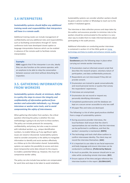## **3.4 INTERPRETERS**

#### *Sustainability systems should define any additional training needs and responsibilities that interpreters will have in a remote audit.*

Additional training needs can include management of confidentiality and any additional roles and responsibilities, such as facilitating conversations through ICT. Some conference tools have developed closed caption or language interpretation features which can be enabled in advance of the remote audit to facilitate remote interpretation.

#### **Example:**

**IOAS** suggests that if the interpreter is on-site, ideally they can also function as the camera operator, with an earphone to be able to relay the conversation between assessor and client without disturbing the inspection.

## **3.5. GATHERING INFORMATION FROM WORKERS**

*Sustainability systems should, at minimum, define in a policy the steps to ensure the integrity and confidentiality of information gathered from workers and vulnerable individuals, e.g. through interviews or worker voice tools, and to avoid compromising the safety of interviewees.*

When gathering information from workers, the critical question informing the policy is whether this new methodology is going to do any harm to these workers. The policy can include protocols for anonymity, confidentiality, and privacy, but also a way to connect with individual workers, e.g., unique identification numbers, to enable follow-up if any significant rights issues are raised or discovered. Sustainability systems need to consider anonymity vs the ability to triangulate information to identify and assist workers effectively as a follow up to the information shared. Sustainability systems can explore the possibility to access and store (even temporarily) some data relevant to the enquiry to enable a potential follow-up. However, this must not compromise worker safety.

The policy can also include how workers are compensated for work time and steps to be taken to avoid retaliation.

Sustainability systems can consider whether workers should be given a phone number or WhatsApp to reach out to the auditor if retaliated against.

The interview or data collection process and steps taken by the auditor and assurance provider to minimise risks to the workers should be communicated to the workers in a very clear way to enable them to make informed decisions about participating in the audit process.

Additional information on conducting worker interviews is contained in section 4.3 of the ISEAL guide on [Using](https://www.isealalliance.org/get-involved/resources/iseal-guidance-using-technology-and-data-enable-and-enhance-remote-audits) [technology](https://www.isealalliance.org/get-involved/resources/iseal-guidance-using-technology-and-data-enable-and-enhance-remote-audits) and Data to enable and enhance remote audits.

#### **Example:**

**Goodweave** puts the following steps in place when carrying out remote worker interviews:

- $\blacksquare$  Enumerators read an informed consent script that describes the research project, voluntary nature of participation, and data confidentiality protocols.
- $\blacksquare$  Respondents are not interviewed if they did not provide consent.
- $\blacksquare$  Enumerators are trained to speak conversationally and record personal stories or quotes that convey the respondents' experiences.
- $\blacksquare$  Interviews are anonymized.
- $\blacksquare$  Enumerators do not record or request any personally identifying information.
- $\blacksquare$  Completed questionnaires and the database are kept on a secure server accessible to only two staff.
- All paper files and notes are destroyed.

The following is a list of other good practices distilled from a range of sustainability systems:

- $\blacksquare$  During assurance provider interviews, the local facilitator shall ensure that the client's representatives do not interfere, that the interviews can be performed in confidence, and that the workers' anonymity is maintained. **(RSPO)**
- $\blacksquare$  The technology and tools shall allow auditors to confirm interviewee identity. The client may not record the interview themselves. **(ASC)**
- $\blacksquare$  It is important to use video to see facial expression and body language and ensure interviews can be conducted in confidence. **(Preferred by Nature)**
- $\blacksquare$  As much as possible, the assessor should aim to use video while conducting remote interviews. **(BCI)**
- $\blacksquare$  Ensure capture of the time and geo-reference the interview location in the report. **(GLOBALGAP)**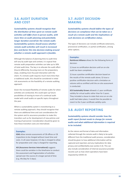## **3.6. AUDIT DURATION AND COST**

*Sustainability systems should recognise that the distribution of time spent on remote audit activities will differ from in-person audits, with more time on audit planning and potentially longer duration overall for the remote audit. Sustainability systems should assess whether remote audit activities will result in increased fees and factor this into decision-making around whether a remote audit approach is feasible.* 

Although the balance of planning time to audit time will vary by audit type and context, it is typical that remote audit preparation activities can take up to 30% of total audit time. The key is to allocate the audit effort (hours) differently, focusing more on the preparatory steps, enabling more focused interaction with the client. If a remote audit requires much more time than a traditional audit, this should be considered in initial risk assessments on the feasibility of a remote auditing approach.

Given the increased flexibility of remote audits for when activities are conducted, this could open up future possibilities of moving to more of a continual audit model with small audits on specific topics throughout the year.

Where a sustainability system is transitioning to a remote auditing approach, they should recognise that there are additional time and cost considerations for the system and its assurance providers to make this transition such as for development of new policies and training of personnel. Consideration should be given to how these transition costs are internalised.

#### **Examples:**

**IOAS** allow remote assessments of CB offices or CB inspections to be charged without travel time and costs. In all cases however, 0.5 day is charged to allow for preparation and 1 day is charged for reporting.

**ASI (Assurance Services International)** suggests there could be variation in the timeframe to conduct the assessment and fragmentation of activities spread over the course of a longer period of time (e.g. 4hr/day for 3 days).

## **3.7. AUDIT DECISION-MAKING**

*Sustainability systems should define the types of decisions on compliance that can be taken as a result of a remote audit and the implications of such decisions on certification status.*

The types of decisions can include certificate extensions, provisional certification, or partial certification, among other options.

#### **Examples**:

**Rainforest Alliance** allows for the following forms of decision:

1) Issue no certification decision until an on-site audit has been completed;

2) Issue a positive certification decision based on the results of the remote audit alone; 3) Issue a positive certification decision with a limitation on volume sold as certified until the on-site assessment is conducted.

**SCS Sustainably Grown** allowed a 1 year certificate validity for virtual audits rather than for 3 years. They included a clause to state that once an on-site audit had taken place, it would then be possible to revert to the 3 year certificate validity cycle.

### **3.8. AUDIT REPORTING**

*Sustainability systems should consider how the audit report format needs to change for remote audits and what additional information is required to be included.*

As the nature and format of data and information collected through the remote audit is likely to be quite different from the traditional audit process, consideration should be given to how additional information will be captured and reported, and any implications for data privacy and confidentiality (see section 4.4). This can also include consideration of internal assurance provider records such as how client operations have been impacted by COVID-19.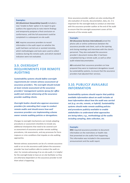#### **Examples:**

**ASI (Aluminium Stewardship Council)** included a new 'Unable to Rate' option in its report to give auditors the opportunity to note interim findings and temporarily postpone a final conclusion on conformance, until the full assessment could be completed in a subsequent on-site audit.

**ASC** requires assurance providers to record information in the audit report on whether the audit had been carried out or assisted remotely, which methodologies and tools were used to collect evidence during the remote audit, and which standard indicators were not evaluated.

## **3.9. OVERSIGHT REQUIREMENTS FOR REMOTE AUDITING**

*Sustainability systems should define oversight requirements for remote witness assessment of assurance providers. The oversight should include at least remote assessment of the assurance providers' management systems (proxy for office audit) and remote witnessing of the assurance provider auditing clients.*

*Oversight bodies should also approve assurance providers for extending their scope to conduct remote audits and should assess how well assurance providers are implementing scheme owner remote auditing policies or derogations.*

Changes to oversight mechanisms can include adapting procedures or assessment checklists to include any additional checkpoints that need to be covered such as assessment of assurance provider remote auditing procedures, risk assessments, and any processes for force majeure or crisis conditions that impede on-site auditing approaches.

Remote witness assessments can be of a remote assurance audit or an on-site assurance audit (where the assurance provider has local auditors able to conduct the audit onsite). For remote witnessing of an on-site audit, it is helpful for the oversight body to have an on-site facilitator as they are otherwise dependent on the assurance provider to tell them what is happening.

Since assurance provider auditors are also conducting offsite evaluation of records, documentation, data, etc. it is important for the oversight body to conduct an interview with the assurance provider auditor at the end of the audit to ensure that the oversight assessment covers all the elements of the remote audit.

#### **Example:**

**ASI (Assurance Services International)** joined the phone calls or online conferences between the assurance provider and client, such as the opening and closing meetings and interviews with the client's personnel. They also evaluated the assurance provider's document review after it had been completed during a remote audit, as well as other audit-related documentation.

**ASI** evaluated their assurance providers on how prepared they were to implement derogations issued by sustainability systems, to ensure that the assurance providers had adjusted their services.

## **3.10. PUBLICLY AVAILABLE INFORMATION**

*Sustainability systems should require that publicly available information about an audit includes at least information about how the audit was carried out (e.g. on-site, remote, or hybrid). Sustainability systems should make remote auditing policies and procedures publicly available to enable stakeholders to understand what approaches are being taken, e.g., methodology of the audits including sampling, data collection, etc.*

#### **Example:**

**MSC** required assurance providers to document information on the restrictions or health risks that prevented on-site audits from happening. This information was included in the assessment announcement and the audit report.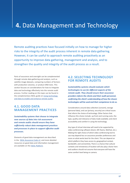## **4.** Data Management and Technology

Remote auditing practices have focused initially on how to manage for higher risks to the integrity of the audit process inherent in remote data gathering. However, it can be useful to approach remote auditing proactively as an opportunity to improve data gathering, management and analysis, and to strengthen the quality and integrity of the audit process as a result.

Parts of assurance and oversight can be complemented through remote data gathering and analysis, such as satellite image datasets, comparing numbers of farmers with production volumes, or product DNA tests. This section focuses on considerations for how to integrate data and technology effectively into the remote audit process. Further reading on this topic can be found in the complementary ISEAL guide on Using [technology](https://www.isealalliance.org/get-involved/resources/iseal-guidance-using-technology-and-data-enable-and-enhance-remote-audits) and Data to enable and [enhance](https://www.isealalliance.org/get-involved/resources/iseal-guidance-using-technology-and-data-enable-and-enhance-remote-audits) remote audits.

## **4.1. GOOD DATA MANAGEMENT PRACTICES**

*Sustainability systems that choose to integrate new sources of data into risk assessment and remote audits should ensure they have sufficiently robust data management practices and processes in place to support effective audit processes.*

Elements of good data management are described in the ISEAL [Assurance](https://www.isealalliance.org/sites/default/files/resource/2018-02/ISEAL_Assurance_Code_Version_2.0.pdf) Code v2, and more detailed resources on good data and information management are available on the ISEAL [Platform](https://platform.isealalliance.org/user/login?destination=/data-and-information-management).

## **4.2. SELECTING TECHNOLOGY FOR REMOTE AUDITS**

*Sustainability systems should evaluate which technologies to use for different aspects of the remote audit. They should ensure their assurance providers inform the clients and their audit personnel, confirming the client's understanding of how the chosen technologies will be used and their competence to do so.*

Considerations around data collection (consent), storage (personal data), and use (privacy, security) are critical issues that inform the choice of technology. Other factors that influence this choice include: up-front and running costs; the type, quality and relevance of data made available; and client accessibility and comfort in using the technology.

Any type of virtual interview will need to be supported by video conferencing software (Zoom, MS Teams, WeChat, etc.). Making the right choice of which video conferencing tool to use may depend less on assurance provider preferences and more on what works best for the client. This can depend on which platform they have access to, geographical context, bandwidth, and connectivity. There is a chance that cultural contexts and remoteness of location will also play a factor here and auditors should not assume that everyone will have the same comfort level being on camera.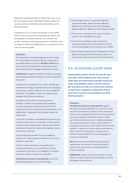Rather than being prescriptive on which tool to use, it can be more useful to build in flexibility of options within the assurance policies, while being more prescriptive on the desired outcomes.

Competence to use a chosen technology can be tested with the client as part of the audit planning. Where new technologies are being introduced, e.g., worker voice surveys, having an on-the-ground partner or facilitator who can support clients and stakeholders to sensitize them to the tool can improve uptake.

#### **Examples:**

The importance of selecting appropriate technology for the purposes of remote auditing is addressed in normative references such as **IAF MD 4: 2018** which covers the Use of Information and Communication Technology (ICT) for Auditing/ Assessment Purposes.

**GLOBALGAP** requested certification bodies to conduct the following requirements before a remote inspection took place:

a) Determine the platform (e.g., virtual meeting app, wearable technology, telephone/video call, messaging app, drones, or other platforms, etc.) for hosting the inspection. This platform needs to be agreed upon between the CB and the producer.

b) Explain to the producer which documents, activities, facilities are expected to be inspected via video streaming (real time) and which will be evaluated based on records/recorded information, and additionally, if applicable, which people need to be interviewed.

c) Test the ICT platform compatibility between the CB and the producer prior to inspection. A trial meeting using the same media platforms agreed upon shall be conducted to ensure the scheduled inspection can be performed as planned.

d) Encourage and consider the use of webcams, cameras, etc. when physical evaluation of an event is desired or necessary.

e) If the remote inspection is impossible due to technical constraints, (e.g., no phone or internet connection on the farm, etc.) GLOBALG.A.P. Remote cannot be used as an option for inspection.

**ASI (Assurance Services International)** sets out the following guidelines for use of technology:

- $\blacksquare$  The oversight assessor, in agreement with the assurance provider, decides on the conference software (e.g. MS Teams, Zoom, Go-To-Meeting, Skype for Business, WebEx, etc.) for hosting the audit.
- $\blacksquare$  The assessor recommends the use of webcams, cameras, etc. throughout the audit
- $\blacksquare$  The assessor schedules a test call with the assurance provider prior to the audit to verify if selected technology and connections are suitable.
- $\blacksquare$  All participants should dial in individually to ensure good sound quality and to allow each person to share screens and to have face-to-face interaction.

## **4.3. ACCESSING CLIENT DATA**

*Sustainability systems should set rules for how and under what timeframe the client should make data and information available during the audit. Sustainability systems should review or get assurance providers to review client contract or agreement templates to determine if these need to be revised to accommodate new data sharing requests.*

#### **Examples:**

**ASI (Assurance Services International)** suggests that when assurance providers do not wish to send records or documents in advance of the assessment, these can be reviewed during the remote assessment, via screen sharing to reduce the amount of data and information that has to be transferred between the assurance provider and ASI. Screen shots and recording can only occur upon explicit consent of the auditee. In advance of remote witness assessments, where real time streaming or recording occurs, consent forms available in the local language are required to be signed.

**BCI** Data access timing: While the assessment is taking place, the assessor reserves the right to request that documents are submitted within a 2-hour timeframe.

**GLOBALGAP** requires assurance providers to make efforts to confirm what was heard, stated, and read throughout the inspection.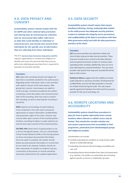## **4.4. DATA PRIVACY AND CONSENT**

*Sustainability systems should comply with the EU GDPR and other national data protection and sharing laws by minimising the collection and use of personal data (often referred to as data that could identify an individual or natural person), and should seek consent from individuals for the specific uses of information they are collecting from those individuals.* 

The EU's General Data Protection [Regulation](https://gdpr-info.eu/) (GDPR) requires organisations to conduct due diligence to identify and assess the personal data they process, while only collecting personal data that is required for execution of essential activities.

#### **Examples:**

**ASC** states that recording should only happen for data that is essentially needed for the audit process. Regarding worker interviews, data is only recorded with explicit consent of the interviewees. After giving their consent, interviewees are asked to verify and sign a checklist provided by the auditor containing a short description and commencement date of the recording, what was used to conduct the recording, as well as how long the recording is stored for.

**RSPO** requires all recordings of audit evidence to be conducted in line with client contractual agreements to respect information confidentiality and proprietary rights of the client. Pictures may only be taken upon consent of the involved parties. Similarly, recording of videos or audio material can only be done upon consent of the involved parties.

**ISO 9001 APG** states that it is good practice to use a secure and agreed system, such as a cloud-based Virtual Private Network (VPN) or file-sharing system, to share and analyse documented information. Once the audit is complete, the auditor should delete any documented information or records that do not need to be retained. Auditors should not take screenshots of auditees as evidence and any screenshots of documents or records should be previously authorized by the audited organization.

### **4.5. DATA SECURITY**

*Sustainability systems should require that anyone handling (collecting, storing, analysing) data related to the audit process has adequate security practices in place to maintain the integrity, access permissions, and confidentiality of the data in accordance with their data governance policy and with the data governance practices of the client.*

#### **Examples:**

**ASC** assurance providers are required to collect and store all data using up-to-date security practices. These measures include access control to the data collected and encrypted transmission of data, for instance when uploading and/or emailing. Additionally, they are not to store data beyond a required timeframe. The assurance provider shall specify how long each recorded file will be kept on their servers.

**Rainforest Alliance** suggests that the viability of remote audits depends on assurance providers checking that full confidentiality, security and data protection is ensured for all data shared during the audit. This may require specific agreements between the client and the assurance provider for the use of recordings, etc.

## **4.6. REMOTE LOCATIONS AND ACCESSIBILITY**

*Sustainability systems should have procedures in place for how to gather information from remote locations where internet or cellular access may be limited. They should also consider whether any new system requirements limit accessibility to their programme, particularly from disadvantaged groups and indigenous peoples.*

Considerations can include:

- $\blacksquare$  carefully evaluating the conditions of using remote audits (based on stakeholder group),
- $\blacksquare$  evaluating entry barriers like technology accessibility and cost, and
- $\blacksquare$  evaluating inherent discrimination from client risk assessments (e.g. whether risk profiles are potentially discriminating against specific countries or stakeholder groups).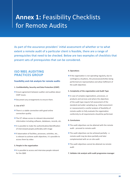## **Annex 1: Feasibility Checklists** for Remote Audits

As part of the assurance providers' initial assessment of whether or to what extent a remote audit of a particular client is feasible, there are a range of prerequisites that need to be checked. Below are two examples of checklists that present sets of prerequisites that can be considered.

## **ISO 9001 AUDITING PRACTICES GROUP**

#### **Feasibility and risk analysis for remote audits**

#### **1. Confidentiality, Security and Data Protection (CSDP)**

- $\blacksquare$  Ensure agreement between auditor and auditee about CSDP issues.
- $\blacksquare$  Document any arrangements to ensure them.

#### **2. Use of ICT**

- $\blacksquare$  There is a stable connection with good online connection quality
- **n** The ICT allows access to relevant documented information including software, databases, records, etc.
- $\blacksquare$  It is possible to make the authentication/identification of interviewed people preferably with image
- $\blacksquare$  If observation of facilities, processes, activities, etc., is relevant to achieve audit objectives, it is possible to access them by video

#### **3. People in the organization**

 $\blacksquare$  It is possible to access and interview people relevant for the QMS

#### **4. Operations**

 $\blacksquare$  If the organization is not operating regularly, due to contingency situations, the processes/activities being performed are representative and allow fulfilment of the audit objectives

#### **5. Complexity of the organization and Audit Type**

 $\blacksquare$  In case of complex organizations, processes, or products and services and where the objectives of the audit type require full assessment of the standard and wider sampling (e.g. initial assessment or reassessment) a careful analysis of feasibility of remote audits to fully evaluate the organization conformity to all requirements should be performed.

#### **6. Conclusions**

- $\blacksquare$  The audit objectives can be attained with the remote audit - proceed to remote audit
- $\blacksquare$  The audit objectives can be achieved partially a remote audit may be done partially and later complemented with an on-site audit
- $\blacksquare$  The audit objectives cannot be attained via remote audit
- **7. Validate risk analysis with audit programme manager**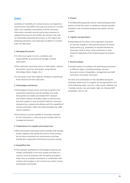## **DNV**

Suitability or feasibility of a remote process can depend on several factors that define the scope and extent of a remote audit: tech suitability, accessibility of all the necessary information remotely, security and privacy measures to safeguard the process and, finally, any inherent risks that can potentially jeopardize the process. In this regard, the following evaluations must take place to define if a remote audit can take place:

#### **1. Managing the process**

- A client must agree to terms, conditions and responsibilities to proceed and manage a remote assessment.
- $\blacksquare$  The audit team must have access to information, relevant documents, resources and people, using relevant technology (video, images, etc.).
- $\blacksquare$  In this phase more time might be needed to authenticate these resources for the audit team.

#### **2. Technologies and devices:**

- $\blacksquare$  Technological infrastructures and tools to perform the assessment seamlessly must be available and ready. Among them are stable and reliable Wi-Fi network and mobile network, secondary option as back-up and technical support in case of network failure5, necessary hardware (e.g. Laptop) and software with the capability of remote connection, video and audio exchange (e.g. 360o camera rotation).
- $\blacksquare$  Such devices must be available to all workers selected for the interviews in a safe and secure location with no management present.

#### **3. Preparedness of a supplier and mutual trust:**

 $\blacksquare$  We recommend conducting remote activities with already known suppliers that exhibit low risks for fraud, bribery, do not have unresolved non-conformances and have already been subjected to third party assurance activity.

#### **4. Geopolitical risk:**

 $\blacksquare$  This evaluates availability of technological capacity and reliable connectivity in the local context and looks at a country's score according to the corruption perception index. Poor or unstable connections in combination with a history of corruption in the country may render remote functionality not feasible.

#### **5. Privacy:**

 $\blacksquare$  Confidentiality guarantee and an understanding by both parties of what this means is needed to evaluate possible limitations and constraints between the auditor and the supplier.

#### **6. Logistics and operations:**

 $\blacksquare$  Depending on the nature of the operation, processes on site may impede or interrupt the process of remote assessments (e.g., availability of required facilities for interviews, level of noise, heavy production or risks related to objectivity of the response given by workers, etc.)

#### **7. Overall analysis:**

 $\blacksquare$  Overall analysis of conditions for performing assessment in different stages, including meetings, site tour, document review, triangulation, management and staff interviews, and worker interviews

The level and combination of risks identified during this evaluation determines if a supplier can be approved for one of the following audits: Low risk - Fully remote, Medium risk - Partially remote, mix-and-match, High risk -Remote NOT acceptable, only on-site.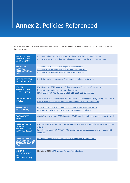## **Annex 2:** Policies Referenced

Where the policies of sustainability systems referenced in the document are publicly available, links to these policies are included below.

| <b>AQUACULTURE</b><br><b>STEWARDSHIP</b><br><b>COUNCIL (ASC)</b>                         | ASC. September 2020. ASC Policy for Audits During the COVID-19 Outbreak.<br>ASC. August 2020. Exit Policy for audits conducted under the ASC COVID-19 policy                                           |
|------------------------------------------------------------------------------------------|--------------------------------------------------------------------------------------------------------------------------------------------------------------------------------------------------------|
| <b>ASSURANCE</b><br><b>SERVICES</b><br><b>INTERNATIONAL</b><br>(ASI)                     | ASI. March 2020. ASI FAQs in response to Coronavirus<br>ASI. May 2020. ASI Good Practices for Remote Audits blog<br>ASI. May 2020. ASI-PRO-20-125- Remote Assessments                                  |
| <b>BETTER COTTON</b><br><b>INITIATIVE (BCI)</b>                                          | BCI. February 2021. Assurance Programme Planning for COVID-19.                                                                                                                                         |
| <b>FOREST</b><br><b>STEWARDSHIP</b><br><b>COUNCIL (FSC)</b>                              | FSC. November 2020. COVID-19 Policy Responses: Collection of derogations,<br>interpretations and frequently asked questions<br>FSC. March 2020. PSU Derogation. FSC-DER-2020-001 Coronavirus           |
| <b>FAIRTRADE USA</b><br>(FTUSA)                                                          | FTUSA. May 2021. Fair Trade USA Certification Accommodation Policy due to Coronavirus.<br>FTUSA. May 2021. Certification Accomodation Policy due to Coronavirus.                                       |
| <b>GLOBALGAP</b><br>(GLOBALGAP)                                                          | GLOBALG.A.P. May 2020. GLOBALG.A.P. Remote interim (English) v1.3<br>GLOBALG.A.P. July 2015. GRASP Remote Assessment Guideline                                                                         |
| <b>GOODWEAVE</b><br>(GW)                                                                 | GoodWeave. November 2020. Impact of COVID on child gender and forced labour study.pdf                                                                                                                  |
| <b>INTERNATIONAL</b><br><b>ORGANIC</b><br><b>ACCREDITATION</b><br><b>SERVICES (IOAS)</b> | IOAS. October 2020. OFFICAL NOTICE IOAS Assessment and Surveillance and Coronavirus<br>COVID-19.<br>IOAS. September 2020. IOAS 2020-02 Guidelines for remote assessments of CBs and CB<br>client sites |
| <b>INTERNATIONAL</b><br><b>ORGANIZATION ON</b><br><b>STANDARDIZATION</b><br>(ISO)        | ISO 9001 Auditing Practices Group: 2020 Guidance on Remote Audits                                                                                                                                      |
| <b>LINKING</b><br><b>ENVIRONMENT</b><br><b>AND</b><br><b>FARMING (LEAF)</b>              | LEAF. June 2020. LEAF Marque Remote Audit Protocol                                                                                                                                                     |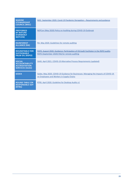| <b>MARINE</b><br><b>STEWARDSHIP</b><br><b>COUNCIL (MSC)</b>                              | MSC. September 2020. Covid-19 Pandemic Derogation – Requirements and guidance                                                           |
|------------------------------------------------------------------------------------------|-----------------------------------------------------------------------------------------------------------------------------------------|
| <b>PREFERRED</b><br><b>BY NATURE</b><br><b>(FORMERLY</b><br><b>NEPCON</b>                | NEPCon (May 2020) Policy on Auditing during COVID-19 Outbreak                                                                           |
| <b>RAINFOREST</b><br><b>ALLIANCE (RA)</b>                                                | RA. May 2020. Guidelines for remote auditing                                                                                            |
| <b>ROUNDTABLE FOR</b><br><b>SUSTAINABLE</b><br><b>PALM OIL (RSPO)</b>                    | RSPO. August 2020. Guidance: Participation of CB Audit Facilitator in the RSPO audits.<br>RSPO (September 2020) FAQ for remote auditing |
| <b>SOCIAL</b><br><b>ACCOUNTABILITY</b><br><b>ACCREDITATION</b><br><b>SERVICES (SAAS)</b> | SAAS. April 2021. COVID-19 Alternative Process Requirements (updated)                                                                   |
| <b>SEDEX</b>                                                                             | Sedex. May 2020. COVID-19 Guidance for Businesses: Managing the Impacts of COVID-19<br>on Employees and Workers in Supply Chains        |
| <b>ROUND TABLE ON</b><br><b>RESPONSIBLE SOY</b><br>(RTRS)                                | RTRS. April 2020. Guideline for Desktop Audits v1                                                                                       |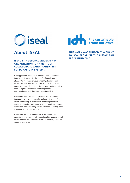

### **ISEAL IS THE GLOBAL MEMBERSHIP ORGANISATION FOR AMBITIOUS, COLLABORATIVE AND TRANSPARENT SUSTAINABILITY SYSTEMS.**

We support and challenge our members to continually improve their impact for the benefit of people and planet. Our members are sustainability standards and related systems, which collaborate in order to scale and demonstrate positive impact. Our regularly updated codes are a recognised framework for best practice, and compliance with them is a mark of credibility.

We support and challenge our members to continually improve by providing forums for collaboration, collective action and sharing of experience; delivering expertise, advice and training; facilitating access to funding to promote innovation; and advocating for the adoption of better, more credible sustainability systems.

For businesses, governments and NGOs, we provide opportunities to connect with sustainability systems, as well as information, resources and events to encourage the use of credible schemes.



**About ISEAL THIS WORK WAS FUNDED BY A GRANT TO ISEAL FROM IDH, THE SUSTAINABLE TRADE INITIATIVE.**